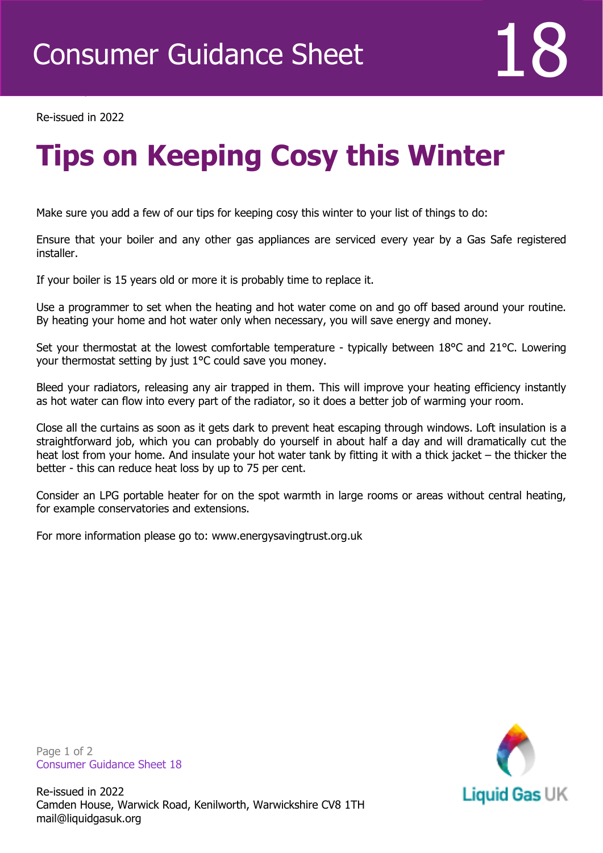

Re-issued in 2022

Revised April 2016

## **Tips on Keeping Cosy this Winter**

Make sure you add a few of our tips for keeping cosy this winter to your list of things to do:

Ensure that your boiler and any other gas appliances are serviced every year by a Gas Safe registered installer.

If your boiler is 15 years old or more it is probably time to replace it.

Use a programmer to set when the heating and hot water come on and go off based around your routine. By heating your home and hot water only when necessary, you will save energy and money.

Set your thermostat at the lowest comfortable temperature - typically between 18°C and 21°C. Lowering your thermostat setting by just 1°C could save you money.

Bleed your radiators, releasing any air trapped in them. This will improve your heating efficiency instantly as hot water can flow into every part of the radiator, so it does a better job of warming your room.

Close all the curtains as soon as it gets dark to prevent heat escaping through windows. Loft insulation is a straightforward job, which you can probably do yourself in about half a day and will dramatically cut the heat lost from your home. And insulate your hot water tank by fitting it with a thick jacket – the thicker the better - this can reduce heat loss by up to 75 per cent.

Consider an LPG portable heater for on the spot warmth in large rooms or areas without central heating, for example conservatories and extensions.

For more information please go to: www.energysavingtrust.org.uk

**Liquid Gas UK** 

Page 1 of 2 Consumer Guidance Sheet 18